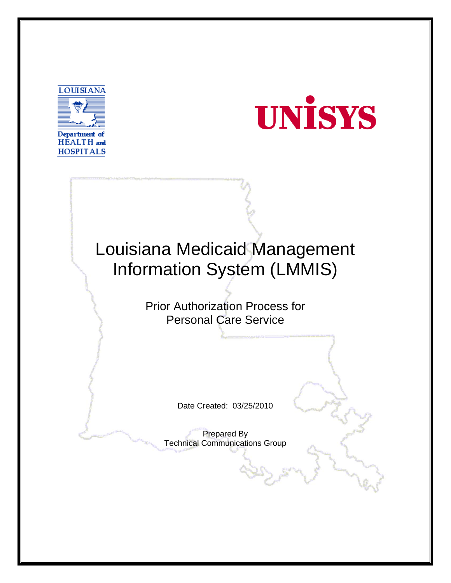



# Louisiana Medicaid Management Information System (LMMIS) Prior Authorization Process for Personal Care Service Date Created: 03/25/2010 Prepared By Technical Communications Group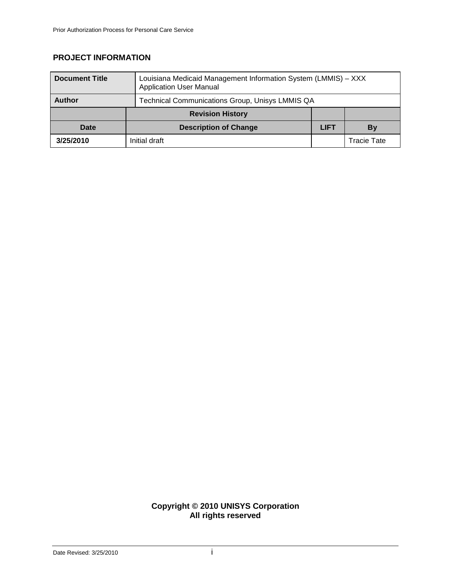## **PROJECT INFORMATION**

| <b>Document Title</b> | Louisiana Medicaid Management Information System (LMMIS) - XXX<br><b>Application User Manual</b> |             |             |
|-----------------------|--------------------------------------------------------------------------------------------------|-------------|-------------|
| <b>Author</b>         | Technical Communications Group, Unisys LMMIS QA                                                  |             |             |
|                       | <b>Revision History</b>                                                                          |             |             |
| Date                  | <b>Description of Change</b>                                                                     | <b>LIFT</b> | By          |
| 3/25/2010             | Initial draft                                                                                    |             | Tracie Tate |

#### **Copyright © 2010 UNISYS Corporation All rights reserved**